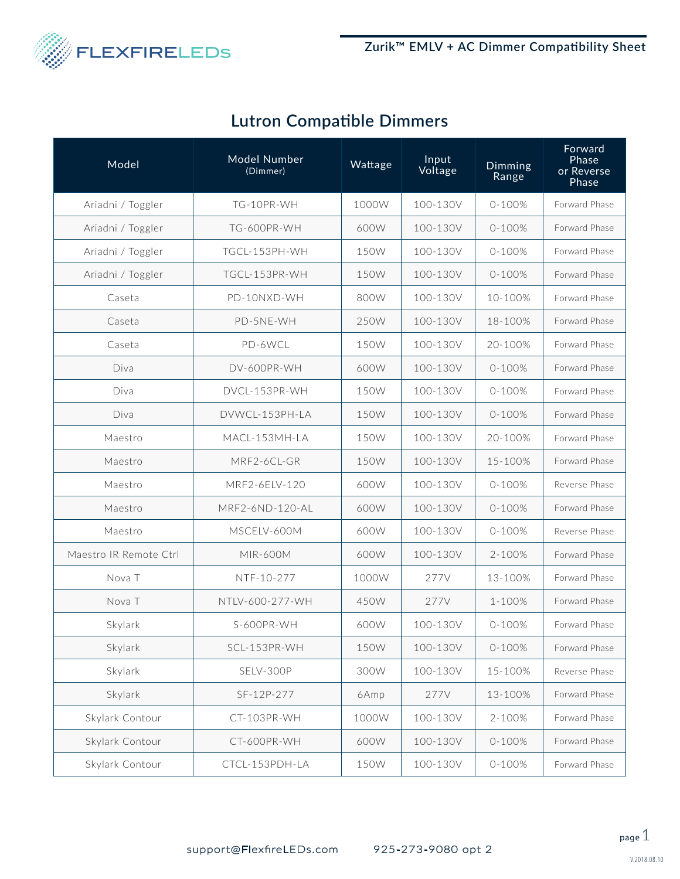

|  |  |  | <b>Lutron Compatible Dimmers</b> |
|--|--|--|----------------------------------|
|--|--|--|----------------------------------|

| Model                  | <b>Model Number</b><br>(Dimmer) | Wattage | Input<br>Voltage | Dimming<br>Range | Forward<br>Phase<br>or Reverse<br>Phase |
|------------------------|---------------------------------|---------|------------------|------------------|-----------------------------------------|
| Ariadni / Toggler      | TG-10PR-WH                      | 1000W   | 100-130V         | $0 - 100%$       | Forward Phase                           |
| Ariadni / Toggler      | TG-600PR-WH                     | 600W    | 100-130V         | $0 - 100%$       | Forward Phase                           |
| Ariadni / Toggler      | TGCL-153PH-WH                   | 150W    | 100-130V         | $0 - 100%$       | Forward Phase                           |
| Ariadni / Toggler      | TGCL-153PR-WH                   | 150W    | 100-130V         | $0 - 100%$       | Forward Phase                           |
| Caseta                 | PD-10NXD-WH                     | 800W    | 100-130V         | 10-100%          | Forward Phase                           |
| Caseta                 | PD-5NE-WH                       | 250W    | 100-130V         | 18-100%          | Forward Phase                           |
| Caseta                 | PD-6WCL                         | 150W    | 100-130V         | 20-100%          | Forward Phase                           |
| Diva                   | DV-600PR-WH                     | 600W    | 100-130V         | $0 - 100%$       | Forward Phase                           |
| Diva                   | DVCL-153PR-WH                   | 150W    | 100-130V         | $0 - 100%$       | Forward Phase                           |
| Diva                   | DVWCL-153PH-LA                  | 150W    | 100-130V         | $0 - 100%$       | Forward Phase                           |
| Maestro                | MACL-153MH-LA                   | 150W    | 100-130V         | 20-100%          | Forward Phase                           |
| Maestro                | MRF2-6CL-GR                     | 150W    | 100-130V         | 15-100%          | Forward Phase                           |
| Maestro                | MRF2-6ELV-120                   | 600W    | 100-130V         | $0 - 100%$       | Reverse Phase                           |
| Maestro                | MRF2-6ND-120-AL                 | 600W    | 100-130V         | $0 - 100%$       | Forward Phase                           |
| Maestro                | MSCELV-600M                     | 600W    | 100-130V         | $0 - 100%$       | Reverse Phase                           |
| Maestro IR Remote Ctrl | MIR-600M                        | 600W    | 100-130V         | 2-100%           | Forward Phase                           |
| Nova <sub>T</sub>      | NTF-10-277                      | 1000W   | 277V             | 13-100%          | Forward Phase                           |
| Nova <sub>T</sub>      | NTLV-600-277-WH                 | 450W    | 277V             | 1-100%           | Forward Phase                           |
| Skylark                | <b>S-600PR-WH</b>               | 600W    | 100-130V         | $0 - 100%$       | Forward Phase                           |
| Skylark                | SCL-153PR-WH                    | 150W    | 100-130V         | $0 - 100%$       | Forward Phase                           |
| Skylark                | SELV-300P                       | 300W    | 100-130V         | 15-100%          | Reverse Phase                           |
| Skylark                | SF-12P-277                      | 6Amp    | 277V             | 13-100%          | Forward Phase                           |
| Skylark Contour        | CT-103PR-WH                     | 1000W   | 100-130V         | 2-100%           | Forward Phase                           |
| Skylark Contour        | CT-600PR-WH                     | 600W    | 100-130V         | $0 - 100%$       | Forward Phase                           |
| Skylark Contour        | CTCL-153PDH-LA                  | 150W    | 100-130V         | $0 - 100%$       | Forward Phase                           |